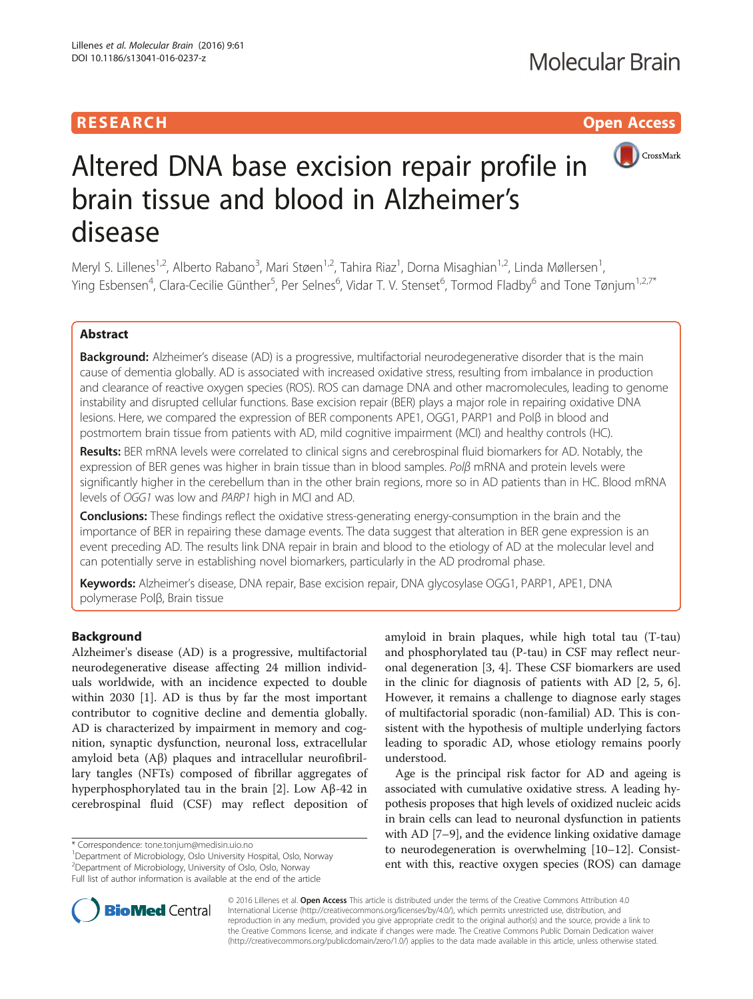# **RESEARCH CHILD CONTROL** CONTROL CONTROL CONTROL CONTROL CONTROL CONTROL CONTROL CONTROL CONTROL CONTROL CONTROL



# Altered DNA base excision repair profile in brain tissue and blood in Alzheimer's disease

Meryl S. Lillenes<sup>1,2</sup>, Alberto Rabano<sup>3</sup>, Mari Støen<sup>1,2</sup>, Tahira Riaz<sup>1</sup>, Dorna Misaghian<sup>1,2</sup>, Linda Møllersen<sup>1</sup> , Ying Esbensen<sup>4</sup>, Clara-Cecilie Günther<sup>5</sup>, Per Selnes<sup>6</sup>, Vidar T. V. Stenset<sup>6</sup>, Tormod Fladby<sup>6</sup> and Tone Tønjum<sup>1,2,7\*</sup>

# Abstract

Background: Alzheimer's disease (AD) is a progressive, multifactorial neurodegenerative disorder that is the main cause of dementia globally. AD is associated with increased oxidative stress, resulting from imbalance in production and clearance of reactive oxygen species (ROS). ROS can damage DNA and other macromolecules, leading to genome instability and disrupted cellular functions. Base excision repair (BER) plays a major role in repairing oxidative DNA lesions. Here, we compared the expression of BER components APE1, OGG1, PARP1 and Polβ in blood and postmortem brain tissue from patients with AD, mild cognitive impairment (MCI) and healthy controls (HC).

Results: BER mRNA levels were correlated to clinical signs and cerebrospinal fluid biomarkers for AD. Notably, the expression of BER genes was higher in brain tissue than in blood samples. Polβ mRNA and protein levels were significantly higher in the cerebellum than in the other brain regions, more so in AD patients than in HC. Blood mRNA levels of OGG1 was low and PARP1 high in MCI and AD.

Conclusions: These findings reflect the oxidative stress-generating energy-consumption in the brain and the importance of BER in repairing these damage events. The data suggest that alteration in BER gene expression is an event preceding AD. The results link DNA repair in brain and blood to the etiology of AD at the molecular level and can potentially serve in establishing novel biomarkers, particularly in the AD prodromal phase.

Keywords: Alzheimer's disease, DNA repair, Base excision repair, DNA glycosylase OGG1, PARP1, APE1, DNA polymerase Polβ, Brain tissue

# Background

Alzheimer's disease (AD) is a progressive, multifactorial neurodegenerative disease affecting 24 million individuals worldwide, with an incidence expected to double within 2030 [[1\]](#page-12-0). AD is thus by far the most important contributor to cognitive decline and dementia globally. AD is characterized by impairment in memory and cognition, synaptic dysfunction, neuronal loss, extracellular amyloid beta (Aβ) plaques and intracellular neurofibrillary tangles (NFTs) composed of fibrillar aggregates of hyperphosphorylated tau in the brain [[2\]](#page-12-0). Low Aβ-42 in cerebrospinal fluid (CSF) may reflect deposition of

Department of Microbiology, Oslo University Hospital, Oslo, Norway 2 Department of Microbiology, University of Oslo, Oslo, Norway Full list of author information is available at the end of the article

amyloid in brain plaques, while high total tau (T-tau) and phosphorylated tau (P-tau) in CSF may reflect neuronal degeneration [\[3](#page-12-0), [4\]](#page-12-0). These CSF biomarkers are used in the clinic for diagnosis of patients with AD [[2](#page-12-0), [5](#page-12-0), [6](#page-12-0)]. However, it remains a challenge to diagnose early stages of multifactorial sporadic (non-familial) AD. This is consistent with the hypothesis of multiple underlying factors leading to sporadic AD, whose etiology remains poorly understood.

Age is the principal risk factor for AD and ageing is associated with cumulative oxidative stress. A leading hypothesis proposes that high levels of oxidized nucleic acids in brain cells can lead to neuronal dysfunction in patients with AD [[7](#page-12-0)–[9](#page-12-0)], and the evidence linking oxidative damage to neurodegeneration is overwhelming [[10](#page-12-0)–[12](#page-12-0)]. Consistent with this, reactive oxygen species (ROS) can damage



© 2016 Lillenes et al. Open Access This article is distributed under the terms of the Creative Commons Attribution 4.0 International License [\(http://creativecommons.org/licenses/by/4.0/](http://creativecommons.org/licenses/by/4.0/)), which permits unrestricted use, distribution, and reproduction in any medium, provided you give appropriate credit to the original author(s) and the source, provide a link to the Creative Commons license, and indicate if changes were made. The Creative Commons Public Domain Dedication waiver [\(http://creativecommons.org/publicdomain/zero/1.0/](http://creativecommons.org/publicdomain/zero/1.0/)) applies to the data made available in this article, unless otherwise stated.

<sup>\*</sup> Correspondence: [tone.tonjum@medisin.uio.no](mailto:tone.tonjum@medisin.uio.no) <sup>1</sup>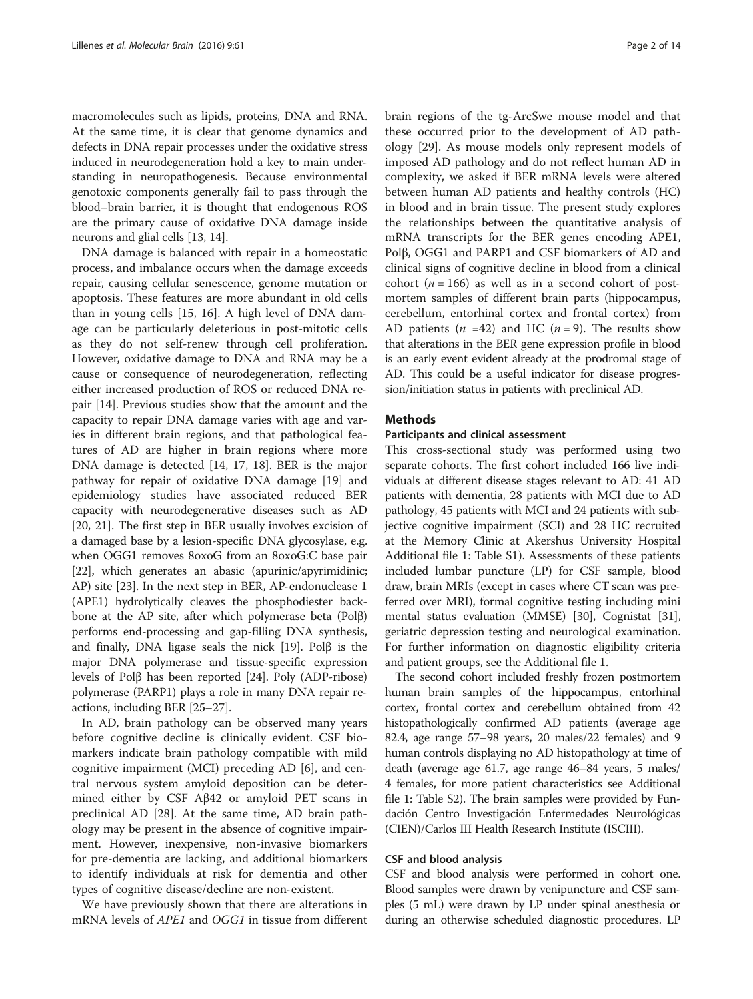macromolecules such as lipids, proteins, DNA and RNA. At the same time, it is clear that genome dynamics and defects in DNA repair processes under the oxidative stress induced in neurodegeneration hold a key to main understanding in neuropathogenesis. Because environmental genotoxic components generally fail to pass through the blood–brain barrier, it is thought that endogenous ROS are the primary cause of oxidative DNA damage inside neurons and glial cells [\[13, 14](#page-12-0)].

DNA damage is balanced with repair in a homeostatic process, and imbalance occurs when the damage exceeds repair, causing cellular senescence, genome mutation or apoptosis. These features are more abundant in old cells than in young cells [\[15](#page-12-0), [16\]](#page-12-0). A high level of DNA damage can be particularly deleterious in post-mitotic cells as they do not self-renew through cell proliferation. However, oxidative damage to DNA and RNA may be a cause or consequence of neurodegeneration, reflecting either increased production of ROS or reduced DNA repair [[14\]](#page-12-0). Previous studies show that the amount and the capacity to repair DNA damage varies with age and varies in different brain regions, and that pathological features of AD are higher in brain regions where more DNA damage is detected [[14](#page-12-0), [17](#page-12-0), [18\]](#page-12-0). BER is the major pathway for repair of oxidative DNA damage [\[19\]](#page-12-0) and epidemiology studies have associated reduced BER capacity with neurodegenerative diseases such as AD [[20, 21\]](#page-12-0). The first step in BER usually involves excision of a damaged base by a lesion-specific DNA glycosylase, e.g. when OGG1 removes 8oxoG from an 8oxoG:C base pair [[22](#page-12-0)], which generates an abasic (apurinic/apyrimidinic; AP) site [[23](#page-12-0)]. In the next step in BER, AP-endonuclease 1 (APE1) hydrolytically cleaves the phosphodiester backbone at the AP site, after which polymerase beta (Polβ) performs end-processing and gap-filling DNA synthesis, and finally, DNA ligase seals the nick [[19](#page-12-0)]. Polβ is the major DNA polymerase and tissue-specific expression levels of Polβ has been reported [[24](#page-12-0)]. Poly (ADP-ribose) polymerase (PARP1) plays a role in many DNA repair reactions, including BER [[25](#page-12-0)–[27\]](#page-12-0).

In AD, brain pathology can be observed many years before cognitive decline is clinically evident. CSF biomarkers indicate brain pathology compatible with mild cognitive impairment (MCI) preceding AD [[6\]](#page-12-0), and central nervous system amyloid deposition can be determined either by CSF Aβ42 or amyloid PET scans in preclinical AD [[28](#page-12-0)]. At the same time, AD brain pathology may be present in the absence of cognitive impairment. However, inexpensive, non-invasive biomarkers for pre-dementia are lacking, and additional biomarkers to identify individuals at risk for dementia and other types of cognitive disease/decline are non-existent.

We have previously shown that there are alterations in mRNA levels of *APE1* and *OGG1* in tissue from different brain regions of the tg-ArcSwe mouse model and that these occurred prior to the development of AD pathology [\[29\]](#page-12-0). As mouse models only represent models of imposed AD pathology and do not reflect human AD in complexity, we asked if BER mRNA levels were altered between human AD patients and healthy controls (HC) in blood and in brain tissue. The present study explores the relationships between the quantitative analysis of mRNA transcripts for the BER genes encoding APE1, Polβ, OGG1 and PARP1 and CSF biomarkers of AD and clinical signs of cognitive decline in blood from a clinical cohort ( $n = 166$ ) as well as in a second cohort of postmortem samples of different brain parts (hippocampus, cerebellum, entorhinal cortex and frontal cortex) from AD patients  $(n = 42)$  and HC  $(n = 9)$ . The results show that alterations in the BER gene expression profile in blood is an early event evident already at the prodromal stage of AD. This could be a useful indicator for disease progression/initiation status in patients with preclinical AD.

# Methods

#### Participants and clinical assessment

This cross-sectional study was performed using two separate cohorts. The first cohort included 166 live individuals at different disease stages relevant to AD: 41 AD patients with dementia, 28 patients with MCI due to AD pathology, 45 patients with MCI and 24 patients with subjective cognitive impairment (SCI) and 28 HC recruited at the Memory Clinic at Akershus University Hospital Additional file [1](#page-11-0): Table S1). Assessments of these patients included lumbar puncture (LP) for CSF sample, blood draw, brain MRIs (except in cases where CT scan was preferred over MRI), formal cognitive testing including mini mental status evaluation (MMSE) [\[30](#page-12-0)], Cognistat [[31](#page-12-0)], geriatric depression testing and neurological examination. For further information on diagnostic eligibility criteria and patient groups, see the Additional file [1](#page-11-0).

The second cohort included freshly frozen postmortem human brain samples of the hippocampus, entorhinal cortex, frontal cortex and cerebellum obtained from 42 histopathologically confirmed AD patients (average age 82.4, age range 57–98 years, 20 males/22 females) and 9 human controls displaying no AD histopathology at time of death (average age 61.7, age range 46–84 years, 5 males/ 4 females, for more patient characteristics see Additional file [1](#page-11-0): Table S2). The brain samples were provided by Fundación Centro Investigación Enfermedades Neurológicas (CIEN)/Carlos III Health Research Institute (ISCIII).

#### CSF and blood analysis

CSF and blood analysis were performed in cohort one. Blood samples were drawn by venipuncture and CSF samples (5 mL) were drawn by LP under spinal anesthesia or during an otherwise scheduled diagnostic procedures. LP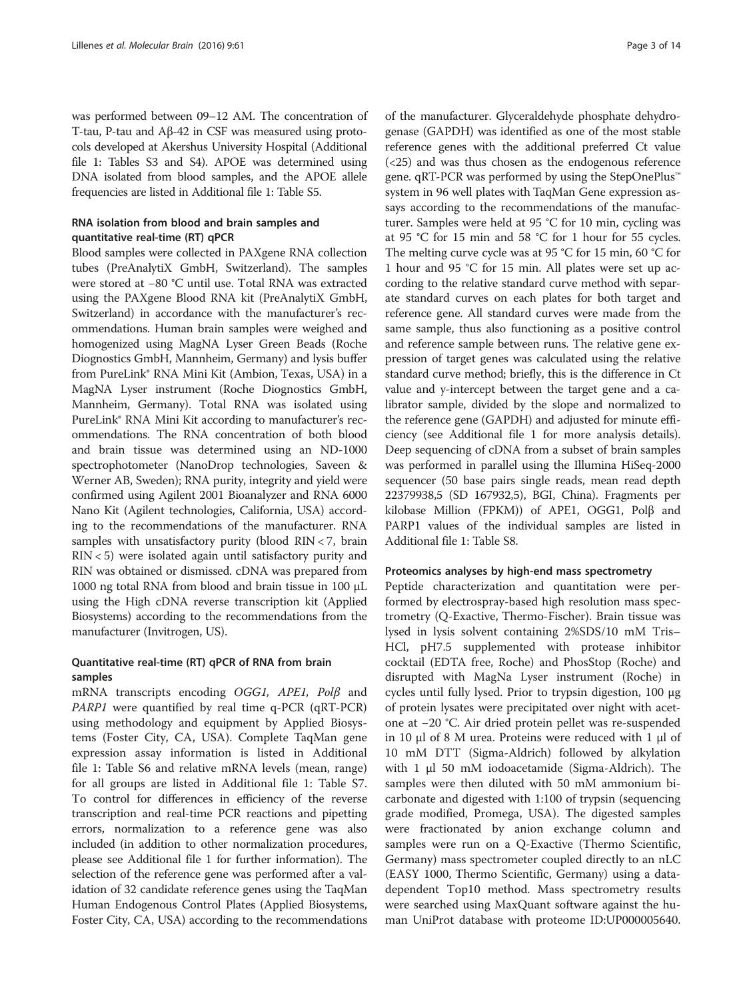was performed between 09–12 AM. The concentration of T-tau, P-tau and Aβ-42 in CSF was measured using protocols developed at Akershus University Hospital (Additional file [1](#page-11-0): Tables S3 and S4). APOE was determined using DNA isolated from blood samples, and the APOE allele frequencies are listed in Additional file [1:](#page-11-0) Table S5.

# RNA isolation from blood and brain samples and quantitative real-time (RT) qPCR

Blood samples were collected in PAXgene RNA collection tubes (PreAnalytiX GmbH, Switzerland). The samples were stored at −80 °C until use. Total RNA was extracted using the PAXgene Blood RNA kit (PreAnalytiX GmbH, Switzerland) in accordance with the manufacturer's recommendations. Human brain samples were weighed and homogenized using MagNA Lyser Green Beads (Roche Diognostics GmbH, Mannheim, Germany) and lysis buffer from PureLink® RNA Mini Kit (Ambion, Texas, USA) in a MagNA Lyser instrument (Roche Diognostics GmbH, Mannheim, Germany). Total RNA was isolated using PureLink® RNA Mini Kit according to manufacturer's recommendations. The RNA concentration of both blood and brain tissue was determined using an ND-1000 spectrophotometer (NanoDrop technologies, Saveen & Werner AB, Sweden); RNA purity, integrity and yield were confirmed using Agilent 2001 Bioanalyzer and RNA 6000 Nano Kit (Agilent technologies, California, USA) according to the recommendations of the manufacturer. RNA samples with unsatisfactory purity (blood RIN < 7, brain  $RIN < 5$ ) were isolated again until satisfactory purity and RIN was obtained or dismissed. cDNA was prepared from 1000 ng total RNA from blood and brain tissue in 100 μL using the High cDNA reverse transcription kit (Applied Biosystems) according to the recommendations from the manufacturer (Invitrogen, US).

# Quantitative real-time (RT) qPCR of RNA from brain samples

mRNA transcripts encoding OGG1, APE1, Polβ and PARP1 were quantified by real time q-PCR (qRT-PCR) using methodology and equipment by Applied Biosystems (Foster City, CA, USA). Complete TaqMan gene expression assay information is listed in Additional file [1:](#page-11-0) Table S6 and relative mRNA levels (mean, range) for all groups are listed in Additional file [1](#page-11-0): Table S7. To control for differences in efficiency of the reverse transcription and real-time PCR reactions and pipetting errors, normalization to a reference gene was also included (in addition to other normalization procedures, please see Additional file [1](#page-11-0) for further information). The selection of the reference gene was performed after a validation of 32 candidate reference genes using the TaqMan Human Endogenous Control Plates (Applied Biosystems, Foster City, CA, USA) according to the recommendations

of the manufacturer. Glyceraldehyde phosphate dehydrogenase (GAPDH) was identified as one of the most stable reference genes with the additional preferred Ct value (<25) and was thus chosen as the endogenous reference gene. qRT-PCR was performed by using the StepOnePlus™ system in 96 well plates with TaqMan Gene expression assays according to the recommendations of the manufacturer. Samples were held at 95 °C for 10 min, cycling was at 95 °C for 15 min and 58 °C for 1 hour for 55 cycles. The melting curve cycle was at 95 °C for 15 min, 60 °C for 1 hour and 95 °C for 15 min. All plates were set up according to the relative standard curve method with separate standard curves on each plates for both target and reference gene. All standard curves were made from the same sample, thus also functioning as a positive control and reference sample between runs. The relative gene expression of target genes was calculated using the relative standard curve method; briefly, this is the difference in Ct value and y-intercept between the target gene and a calibrator sample, divided by the slope and normalized to the reference gene (GAPDH) and adjusted for minute efficiency (see Additional file [1](#page-11-0) for more analysis details). Deep sequencing of cDNA from a subset of brain samples was performed in parallel using the Illumina HiSeq-2000 sequencer (50 base pairs single reads, mean read depth 22379938,5 (SD 167932,5), BGI, China). Fragments per kilobase Million (FPKM)) of APE1, OGG1, Polβ and PARP1 values of the individual samples are listed in Additional file [1](#page-11-0): Table S8.

### Proteomics analyses by high-end mass spectrometry

Peptide characterization and quantitation were performed by electrospray-based high resolution mass spectrometry (Q-Exactive, Thermo-Fischer). Brain tissue was lysed in lysis solvent containing 2%SDS/10 mM Tris– HCl, pH7.5 supplemented with protease inhibitor cocktail (EDTA free, Roche) and PhosStop (Roche) and disrupted with MagNa Lyser instrument (Roche) in cycles until fully lysed. Prior to trypsin digestion, 100 μg of protein lysates were precipitated over night with acetone at −20 °C. Air dried protein pellet was re-suspended in 10 μl of 8 M urea. Proteins were reduced with 1 μl of 10 mM DTT (Sigma-Aldrich) followed by alkylation with 1 μl 50 mM iodoacetamide (Sigma-Aldrich). The samples were then diluted with 50 mM ammonium bicarbonate and digested with 1:100 of trypsin (sequencing grade modified, Promega, USA). The digested samples were fractionated by anion exchange column and samples were run on a Q-Exactive (Thermo Scientific, Germany) mass spectrometer coupled directly to an nLC (EASY 1000, Thermo Scientific, Germany) using a datadependent Top10 method. Mass spectrometry results were searched using MaxQuant software against the human UniProt database with proteome ID:UP000005640.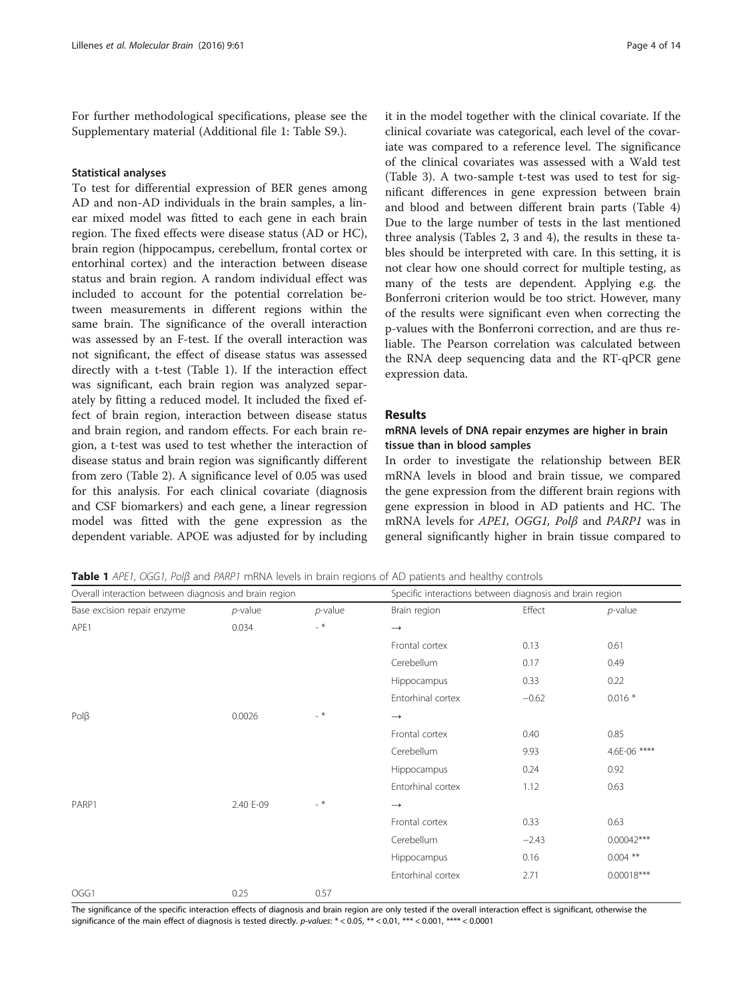<span id="page-3-0"></span>For further methodological specifications, please see the Supplementary material (Additional file [1:](#page-11-0) Table S9.).

#### Statistical analyses

To test for differential expression of BER genes among AD and non-AD individuals in the brain samples, a linear mixed model was fitted to each gene in each brain region. The fixed effects were disease status (AD or HC), brain region (hippocampus, cerebellum, frontal cortex or entorhinal cortex) and the interaction between disease status and brain region. A random individual effect was included to account for the potential correlation between measurements in different regions within the same brain. The significance of the overall interaction was assessed by an F-test. If the overall interaction was not significant, the effect of disease status was assessed directly with a t-test (Table 1). If the interaction effect was significant, each brain region was analyzed separately by fitting a reduced model. It included the fixed effect of brain region, interaction between disease status and brain region, and random effects. For each brain region, a t-test was used to test whether the interaction of disease status and brain region was significantly different from zero (Table [2](#page-4-0)). A significance level of 0.05 was used for this analysis. For each clinical covariate (diagnosis and CSF biomarkers) and each gene, a linear regression model was fitted with the gene expression as the dependent variable. APOE was adjusted for by including

it in the model together with the clinical covariate. If the clinical covariate was categorical, each level of the covariate was compared to a reference level. The significance of the clinical covariates was assessed with a Wald test (Table [3\)](#page-5-0). A two-sample t-test was used to test for significant differences in gene expression between brain and blood and between different brain parts (Table [4](#page-6-0)) Due to the large number of tests in the last mentioned three analysis (Tables [2,](#page-4-0) [3](#page-5-0) and [4](#page-6-0)), the results in these tables should be interpreted with care. In this setting, it is not clear how one should correct for multiple testing, as many of the tests are dependent. Applying e.g. the Bonferroni criterion would be too strict. However, many of the results were significant even when correcting the p-values with the Bonferroni correction, and are thus reliable. The Pearson correlation was calculated between the RNA deep sequencing data and the RT-qPCR gene expression data.

#### Results

## mRNA levels of DNA repair enzymes are higher in brain tissue than in blood samples

In order to investigate the relationship between BER mRNA levels in blood and brain tissue, we compared the gene expression from the different brain regions with gene expression in blood in AD patients and HC. The mRNA levels for APE1, OGG1, Polβ and PARP1 was in general significantly higher in brain tissue compared to

Table 1 APE1, OGG1, Polβ and PARP1 mRNA levels in brain regions of AD patients and healthy controls

| Overall interaction between diagnosis and brain region |            |            | Specific interactions between diagnosis and brain region |         |              |
|--------------------------------------------------------|------------|------------|----------------------------------------------------------|---------|--------------|
| Base excision repair enzyme                            | $p$ -value | $p$ -value | Brain region                                             | Effect  | $p$ -value   |
| APE1                                                   | 0.034      | $-$ *      | $\rightarrow$                                            |         |              |
|                                                        |            |            | Frontal cortex                                           | 0.13    | 0.61         |
|                                                        |            |            | Cerebellum                                               | 0.17    | 0.49         |
|                                                        |            |            | Hippocampus                                              | 0.33    | 0.22         |
|                                                        |            |            | Entorhinal cortex                                        | $-0.62$ | $0.016*$     |
| $P$ ol $\beta$                                         | 0.0026     | $-$ *      | $\longrightarrow$                                        |         |              |
|                                                        |            |            | Frontal cortex                                           | 0.40    | 0.85         |
|                                                        |            |            | Cerebellum                                               | 9.93    | 4.6E-06 **** |
|                                                        |            |            | Hippocampus                                              | 0.24    | 0.92         |
|                                                        |            |            | Entorhinal cortex                                        | 1.12    | 0.63         |
| PARP1                                                  | 2.40 E-09  | $-$ *      | $\rightarrow$                                            |         |              |
|                                                        |            |            | Frontal cortex                                           | 0.33    | 0.63         |
|                                                        |            |            | Cerebellum                                               | $-2.43$ | $0.00042***$ |
|                                                        |            |            | Hippocampus                                              | 0.16    | $0.004$ **   |
|                                                        |            |            | Entorhinal cortex                                        | 2.71    | $0.00018***$ |
| OGG1                                                   | 0.25       | 0.57       |                                                          |         |              |

The significance of the specific interaction effects of diagnosis and brain region are only tested if the overall interaction effect is significant, otherwise the significance of the main effect of diagnosis is tested directly. p-values: \* < 0.05, \*\* < 0.01, \*\*\* < 0.001, \*\*\*\* < 0.0001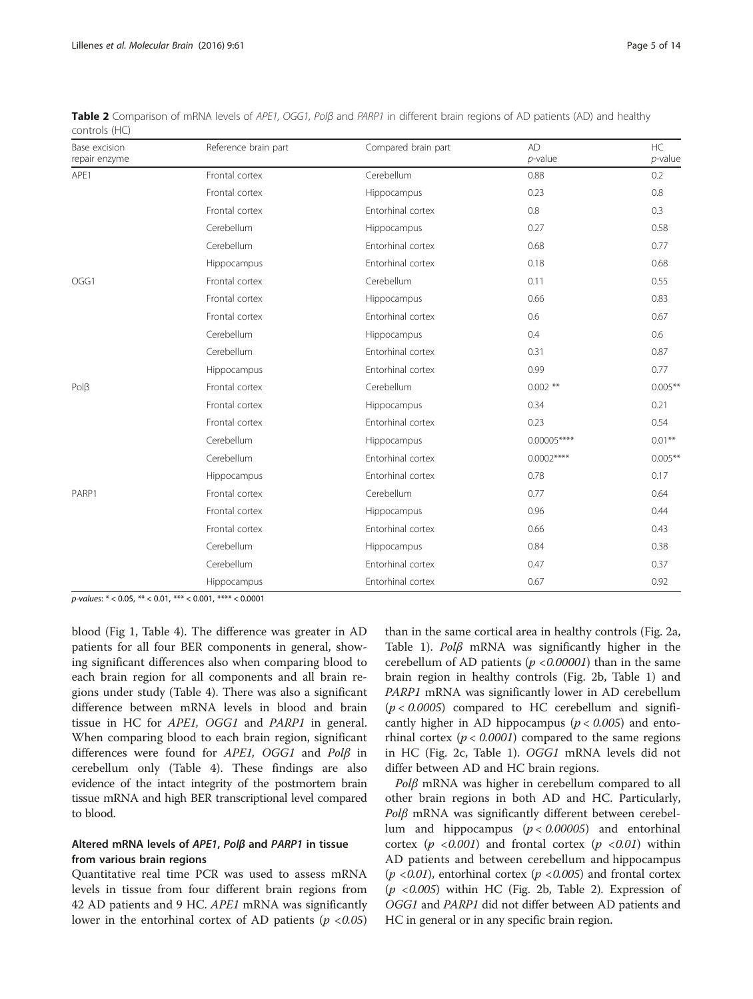| Base excision<br>repair enzyme | Reference brain part | Compared brain part | <b>AD</b><br>$p$ -value | HC<br>$p$ -value |
|--------------------------------|----------------------|---------------------|-------------------------|------------------|
| APE1                           | Frontal cortex       | Cerebellum          | 0.88                    | 0.2              |
|                                | Frontal cortex       | Hippocampus         | 0.23                    | 0.8              |
|                                | Frontal cortex       | Entorhinal cortex   | 0.8                     | 0.3              |
|                                | Cerebellum           | Hippocampus         | 0.27                    | 0.58             |
|                                | Cerebellum           | Entorhinal cortex   | 0.68                    | 0.77             |
|                                | Hippocampus          | Entorhinal cortex   | 0.18                    | 0.68             |
| OGG1                           | Frontal cortex       | Cerebellum          | 0.11                    | 0.55             |
|                                | Frontal cortex       | Hippocampus         | 0.66                    | 0.83             |
|                                | Frontal cortex       | Entorhinal cortex   | 0.6                     | 0.67             |
|                                | Cerebellum           | Hippocampus         | 0.4                     | 0.6              |
|                                | Cerebellum           | Entorhinal cortex   | 0.31                    | 0.87             |
|                                | Hippocampus          | Entorhinal cortex   | 0.99                    | 0.77             |
| $P$ ol $\beta$                 | Frontal cortex       | Cerebellum          | $0.002$ **              | $0.005***$       |
|                                | Frontal cortex       | Hippocampus         | 0.34                    | 0.21             |
|                                | Frontal cortex       | Entorhinal cortex   | 0.23                    | 0.54             |
|                                | Cerebellum           | Hippocampus         | $0.00005***$            | $0.01***$        |
|                                | Cerebellum           | Entorhinal cortex   | $0.0002***$             | $0.005***$       |
|                                | Hippocampus          | Entorhinal cortex   | 0.78                    | 0.17             |
| PARP1                          | Frontal cortex       | Cerebellum          | 0.77                    | 0.64             |
|                                | Frontal cortex       | Hippocampus         | 0.96                    | 0.44             |
|                                | Frontal cortex       | Entorhinal cortex   | 0.66                    | 0.43             |
|                                | Cerebellum           | Hippocampus         | 0.84                    | 0.38             |
|                                | Cerebellum           | Entorhinal cortex   | 0.47                    | 0.37             |
|                                | Hippocampus          | Entorhinal cortex   | 0.67                    | 0.92             |

<span id="page-4-0"></span>Table 2 Comparison of mRNA levels of APE1, OGG1, Polβ and PARP1 in different brain regions of AD patients (AD) and healthy controls (HC)

p-values: \* < 0.05, \*\* < 0.01, \*\*\* < 0.001, \*\*\*\* < 0.0001

blood (Fig [1](#page-7-0), Table [4\)](#page-6-0). The difference was greater in AD patients for all four BER components in general, showing significant differences also when comparing blood to each brain region for all components and all brain regions under study (Table [4](#page-6-0)). There was also a significant difference between mRNA levels in blood and brain tissue in HC for APE1, OGG1 and PARP1 in general. When comparing blood to each brain region, significant differences were found for APE1, OGG1 and Polβ in cerebellum only (Table [4](#page-6-0)). These findings are also evidence of the intact integrity of the postmortem brain tissue mRNA and high BER transcriptional level compared to blood.

# Altered mRNA levels of APE1, Polβ and PARP1 in tissue from various brain regions

Quantitative real time PCR was used to assess mRNA levels in tissue from four different brain regions from 42 AD patients and 9 HC. *APE1* mRNA was significantly lower in the entorhinal cortex of AD patients ( $p < 0.05$ )

than in the same cortical area in healthy controls (Fig. [2a](#page-8-0), Table [1](#page-3-0)). Polβ mRNA was significantly higher in the cerebellum of AD patients ( $p < 0.00001$ ) than in the same brain region in healthy controls (Fig. [2b,](#page-8-0) Table [1\)](#page-3-0) and PARP1 mRNA was significantly lower in AD cerebellum  $(p < 0.0005)$  compared to HC cerebellum and significantly higher in AD hippocampus ( $p < 0.005$ ) and entorhinal cortex ( $p < 0.0001$ ) compared to the same regions in HC (Fig. [2c](#page-8-0), Table [1](#page-3-0)). OGG1 mRNA levels did not differ between AD and HC brain regions.

Polβ mRNA was higher in cerebellum compared to all other brain regions in both AD and HC. Particularly,  $Pol\beta$  mRNA was significantly different between cerebellum and hippocampus ( $p < 0.00005$ ) and entorhinal cortex  $(p \le 0.001)$  and frontal cortex  $(p \le 0.01)$  within AD patients and between cerebellum and hippocampus  $(p \langle 0.01 \rangle)$ , entorhinal cortex  $(p \langle 0.005 \rangle)$  and frontal cortex  $(p \langle 0.005 \rangle)$  within HC (Fig. [2b](#page-8-0), Table 2). Expression of OGG1 and PARP1 did not differ between AD patients and HC in general or in any specific brain region.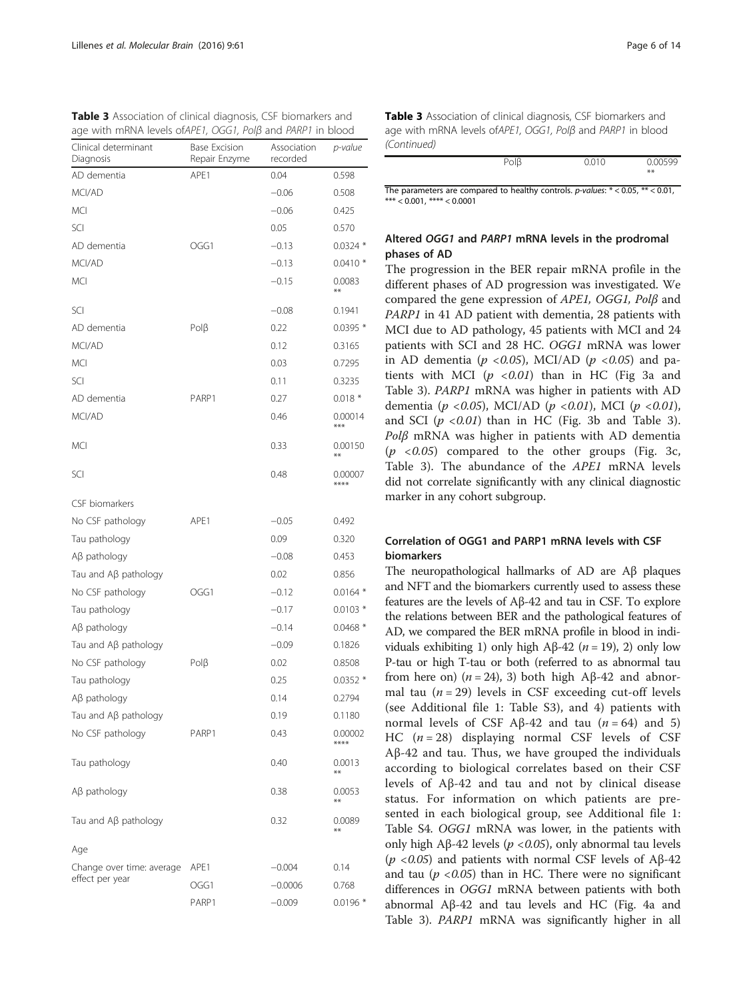<span id="page-5-0"></span>

|  | <b>Table 3</b> Association of clinical diagnosis, CSF biomarkers and |  |
|--|----------------------------------------------------------------------|--|
|  | age with mRNA levels of APE1, $OGG1$ , $POIB$ and $PARP1$ in blood   |  |

| Clinical determinant<br>Diagnosis            | <b>Base Excision</b><br>Repair Enzyme | Association<br>recorded | p-value          |
|----------------------------------------------|---------------------------------------|-------------------------|------------------|
| AD dementia                                  | APF1                                  | 0.04                    | 0.598            |
| MCI/AD                                       |                                       | $-0.06$                 | 0.508            |
| MCI                                          |                                       | $-0.06$                 | 0.425            |
| SCI                                          |                                       | 0.05                    | 0.570            |
| AD dementia                                  | OGG1                                  | $-0.13$                 | $0.0324*$        |
| MCI/AD                                       |                                       | $-0.13$                 | $0.0410*$        |
| <b>MCI</b>                                   |                                       | $-0.15$                 | 0.0083<br>$***$  |
| SCI                                          |                                       | $-0.08$                 | 0.1941           |
| AD dementia                                  | $P$ ol $\beta$                        | 0.22                    | $0.0395*$        |
| MCI/AD                                       |                                       | 0.12                    | 0.3165           |
| <b>MCI</b>                                   |                                       | 0.03                    | 0.7295           |
| SCI                                          |                                       | 0.11                    | 0.3235           |
| AD dementia                                  | PARP1                                 | 0.27                    | $0.018*$         |
| MCI/AD                                       |                                       | 0.46                    | 0.00014<br>***   |
| <b>MCI</b>                                   |                                       | 0.33                    | 0.00150<br>$***$ |
| SCI                                          |                                       | 0.48                    | 0.00007<br>****  |
| CSF biomarkers                               |                                       |                         |                  |
| No CSF pathology                             | APE1                                  | $-0.05$                 | 0.492            |
| Tau pathology                                |                                       | 0.09                    | 0.320            |
| $A\beta$ pathology                           |                                       | $-0.08$                 | 0.453            |
| Tau and Aβ pathology                         |                                       | 0.02                    | 0.856            |
| No CSF pathology                             | OGG1                                  | $-0.12$                 | $0.0164*$        |
| Tau pathology                                |                                       | $-0.17$                 | $0.0103*$        |
| $A\beta$ pathology                           |                                       | $-0.14$                 | $0.0468*$        |
| Tau and $\mathsf{A}\beta$ pathology          |                                       | $-0.09$                 | 0.1826           |
| No CSF pathology                             | $P$ ol $\beta$                        | 0.02                    | 0.8508           |
| Tau pathology                                |                                       | 0.25                    | $0.0352*$        |
| $A\beta$ pathology                           |                                       | 0.14                    | 0.2794           |
| Tau and Aβ pathology                         |                                       | 0.19                    | 0.1180           |
| No CSF pathology                             | PARP1                                 | 0.43                    | 0.00002<br>****  |
| Tau pathology                                |                                       | 0.40                    | 0.0013<br>**     |
| Aβ pathology                                 |                                       | 0.38                    | 0.0053<br>$***$  |
| Tau and Aβ pathology                         |                                       | 0.32                    | 0.0089<br>**     |
| Age                                          |                                       |                         |                  |
| Change over time: average<br>effect per year | APE1                                  | $-0.004$                | 0.14             |
|                                              | OGG1                                  | $-0.0006$               | 0.768            |
|                                              | PARP1                                 | $-0.009$                | $0.0196*$        |

Table 3 Association of clinical diagnosis, CSF biomarkers and age with mRNA levels ofAPE1, OGG1, Polβ and PARP1 in blood (Continued)

| $D \cap R$<br>υıμ | 0.010 | 0.00500 |
|-------------------|-------|---------|
|                   |       | $***$   |
|                   |       |         |

The parameters are compared to healthy controls.  $p$ -values:  $* < 0.05$ ,  $** < 0.01$ ,  $*** < 0.001$ ,  $*** < 0.0001$ 

# Altered OGG1 and PARP1 mRNA levels in the prodromal phases of AD

The progression in the BER repair mRNA profile in the different phases of AD progression was investigated. We compared the gene expression of  $APE1$ ,  $OGG1$ ,  $Pol\beta$  and PARP1 in 41 AD patient with dementia, 28 patients with MCI due to AD pathology, 45 patients with MCI and 24 patients with SCI and 28 HC. OGG1 mRNA was lower in AD dementia ( $p < 0.05$ ), MCI/AD ( $p < 0.05$ ) and patients with MCI  $(p \le 0.01)$  than in HC (Fig [3a](#page-9-0) and Table 3). PARP1 mRNA was higher in patients with AD dementia ( $p < 0.05$ ), MCI/AD ( $p < 0.01$ ), MCI ( $p < 0.01$ ), and SCI  $(p \le 0.01)$  than in HC (Fig. [3b](#page-9-0) and Table 3).  $P$ olβ mRNA was higher in patients with AD dementia  $(p \lt 0.05)$  compared to the other groups (Fig. [3c](#page-9-0), Table 3). The abundance of the APE1 mRNA levels did not correlate significantly with any clinical diagnostic marker in any cohort subgroup.

# Correlation of OGG1 and PARP1 mRNA levels with CSF biomarkers

The neuropathological hallmarks of AD are Aβ plaques and NFT and the biomarkers currently used to assess these features are the levels of Aβ-42 and tau in CSF. To explore the relations between BER and the pathological features of AD, we compared the BER mRNA profile in blood in individuals exhibiting 1) only high Aβ-42 ( $n = 19$ ), 2) only low P-tau or high T-tau or both (referred to as abnormal tau from here on)  $(n = 24)$ , 3) both high A $\beta$ -42 and abnormal tau  $(n = 29)$  levels in CSF exceeding cut-off levels (see Additional file [1](#page-11-0): Table S3), and 4) patients with normal levels of CSF Aβ-42 and tau  $(n = 64)$  and 5) HC  $(n = 28)$  displaying normal CSF levels of CSF Aβ-42 and tau. Thus, we have grouped the individuals according to biological correlates based on their CSF levels of Aβ-42 and tau and not by clinical disease status. For information on which patients are presented in each biological group, see Additional file [1](#page-11-0): Table S4. OGG1 mRNA was lower, in the patients with only high Aβ-42 levels ( $p$  <0.05), only abnormal tau levels ( $p$  <0.05) and patients with normal CSF levels of Aβ-42 and tau ( $p < 0.05$ ) than in HC. There were no significant differences in OGG1 mRNA between patients with both abnormal Aβ-42 and tau levels and HC (Fig. [4a](#page-10-0) and Table 3). PARP1 mRNA was significantly higher in all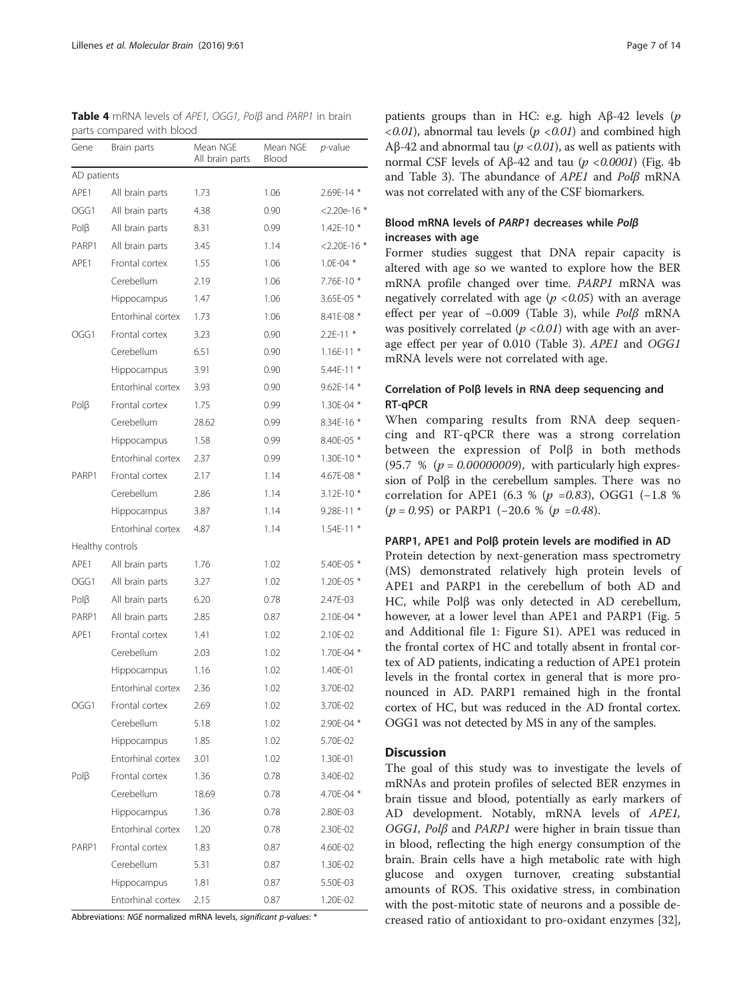| Gene           | Brain parts       | Mean NGE<br>All brain parts | Mean NGE<br>Blood | $p$ -value       |
|----------------|-------------------|-----------------------------|-------------------|------------------|
| AD patients    |                   |                             |                   |                  |
| APE1           | All brain parts   | 1.73                        | 1.06              | 2.69E-14 *       |
| OGG1           | All brain parts   | 4.38                        | 0.90              | $<$ 2.20e-16 $*$ |
| PolB           | All brain parts   | 8.31                        | 0.99              | 1.42E-10 *       |
| PARP1          | All brain parts   | 3.45                        | 1.14              | $<$ 2.20E-16 $*$ |
| APE1           | Frontal cortex    | 1.55                        | 1.06              | $1.0E - 04$ *    |
|                | Cerebellum        | 2.19                        | 1.06              | 7.76E-10 *       |
|                | Hippocampus       | 1.47                        | 1.06              | 3.65E-05 *       |
|                | Entorhinal cortex | 1.73                        | 1.06              | 8.41E-08 *       |
| OGG1           | Frontal cortex    | 3.23                        | 0.90              | $2.2E-11*$       |
|                | Cerebellum        | 6.51                        | 0.90              | $1.16E-11*$      |
|                | Hippocampus       | 3.91                        | 0.90              | 5.44E-11 *       |
|                | Entorhinal cortex | 3.93                        | 0.90              | 9.62E-14 *       |
| $P$ ol $\beta$ | Frontal cortex    | 1.75                        | 0.99              | 1.30E-04 *       |
|                | Cerebellum        | 28.62                       | 0.99              | 8.34E-16 *       |
|                | Hippocampus       | 1.58                        | 0.99              | 8.40E-05 *       |
|                | Entorhinal cortex | 2.37                        | 0.99              | 1.30E-10 *       |
| PARP1          | Frontal cortex    | 2.17                        | 1.14              | 4.67E-08 *       |
|                | Cerebellum        | 2.86                        | 1.14              | 3.12E-10 *       |
|                | Hippocampus       | 3.87                        | 1.14              | 9.28E-11 *       |
|                | Entorhinal cortex | 4.87                        | 1.14              | $1.54E-11$ *     |
|                | Healthy controls  |                             |                   |                  |
| APE1           | All brain parts   | 1.76                        | 1.02              | 5.40E-05 *       |
| OGG1           | All brain parts   | 3.27                        | 1.02              | 1.20E-05 *       |
| $P$ ol $\beta$ | All brain parts   | 6.20                        | 0.78              | 2.47E-03         |
| PARP1          | All brain parts   | 2.85                        | 0.87              | 2.10E-04 *       |
| APE1           | Frontal cortex    | 1.41                        | 1.02              | 2.10E-02         |
|                | Cerebellum        | 2.03                        | 1.02              | 1.70E-04 *       |
|                | Hippocampus       | 1.16                        | 1.02              | 1.40E-01         |
|                | Entorhinal cortex | 2.36                        | 1.02              | 3.70E-02         |
| OGG1           | Frontal cortex    | 2.69                        | 1.02              | 3.70E-02         |
|                | Cerebellum        | 5.18                        | 1.02              | 2.90E-04 *       |
|                | Hippocampus       | 1.85                        | 1.02              | 5.70E-02         |
|                | Entorhinal cortex | 3.01                        | 1.02              | 1.30E-01         |
| $P$ ol $\beta$ | Frontal cortex    | 1.36                        | 0.78              | 3.40E-02         |
|                | Cerebellum        | 18.69                       | 0.78              | 4.70E-04 *       |
|                | Hippocampus       | 1.36                        | 0.78              | 2.80E-03         |
|                | Entorhinal cortex | 1.20                        | 0.78              | 2.30E-02         |
| PARP1          | Frontal cortex    | 1.83                        | 0.87              | 4.60E-02         |
|                | Cerebellum        | 5.31                        | 0.87              | 1.30E-02         |
|                | Hippocampus       | 1.81                        | 0.87              | 5.50E-03         |
|                | Entorhinal cortex | 2.15                        | 0.87              | 1.20E-02         |

<span id="page-6-0"></span>Table 4 mRNA levels of APE1, OGG1, Polβ and PARP1 in brain parts compared with blood

Abbreviations: NGE normalized mRNA levels, significant p-values: \*

patients groups than in HC: e.g. high Aβ-42 levels  $(p)$  $\langle 0.01 \rangle$ , abnormal tau levels ( $p \langle 0.01 \rangle$  and combined high Aβ-42 and abnormal tau ( $p$  < 0.01), as well as patients with normal CSF levels of Aβ-42 and tau ( $p$  <0.0001) (Fig. [4b](#page-10-0) and Table [3](#page-5-0)). The abundance of APE1 and Polβ mRNA was not correlated with any of the CSF biomarkers.

# Blood mRNA levels of PARP1 decreases while Polβ increases with age

Former studies suggest that DNA repair capacity is altered with age so we wanted to explore how the BER mRNA profile changed over time. PARP1 mRNA was negatively correlated with age ( $p < 0.05$ ) with an average effect per year of −0.009 (Table [3\)](#page-5-0), while Polβ mRNA was positively correlated  $(p < 0.01)$  with age with an average effect per year of 0.010 (Table [3\)](#page-5-0). APE1 and OGG1 mRNA levels were not correlated with age.

# Correlation of Polβ levels in RNA deep sequencing and RT-qPCR

When comparing results from RNA deep sequencing and RT-qPCR there was a strong correlation between the expression of Polβ in both methods (95.7 % ( $p = 0.00000009$ ), with particularly high expression of Polβ in the cerebellum samples. There was no correlation for APE1 (6.3 % ( $p = 0.83$ ), OGG1 (-1.8 %  $(p = 0.95)$  or PARP1 (-20.6 % (p =0.48).

### PARP1, APE1 and Polβ protein levels are modified in AD

Protein detection by next-generation mass spectrometry (MS) demonstrated relatively high protein levels of APE1 and PARP1 in the cerebellum of both AD and HC, while Polβ was only detected in AD cerebellum, however, at a lower level than APE1 and PARP1 (Fig. [5](#page-10-0) and Additional file [1](#page-11-0): Figure S1). APE1 was reduced in the frontal cortex of HC and totally absent in frontal cortex of AD patients, indicating a reduction of APE1 protein levels in the frontal cortex in general that is more pronounced in AD. PARP1 remained high in the frontal cortex of HC, but was reduced in the AD frontal cortex. OGG1 was not detected by MS in any of the samples.

# **Discussion**

The goal of this study was to investigate the levels of mRNAs and protein profiles of selected BER enzymes in brain tissue and blood, potentially as early markers of AD development. Notably, mRNA levels of APE1, OGG1, Polβ and PARP1 were higher in brain tissue than in blood, reflecting the high energy consumption of the brain. Brain cells have a high metabolic rate with high glucose and oxygen turnover, creating substantial amounts of ROS. This oxidative stress, in combination with the post-mitotic state of neurons and a possible decreased ratio of antioxidant to pro-oxidant enzymes [\[32](#page-12-0)],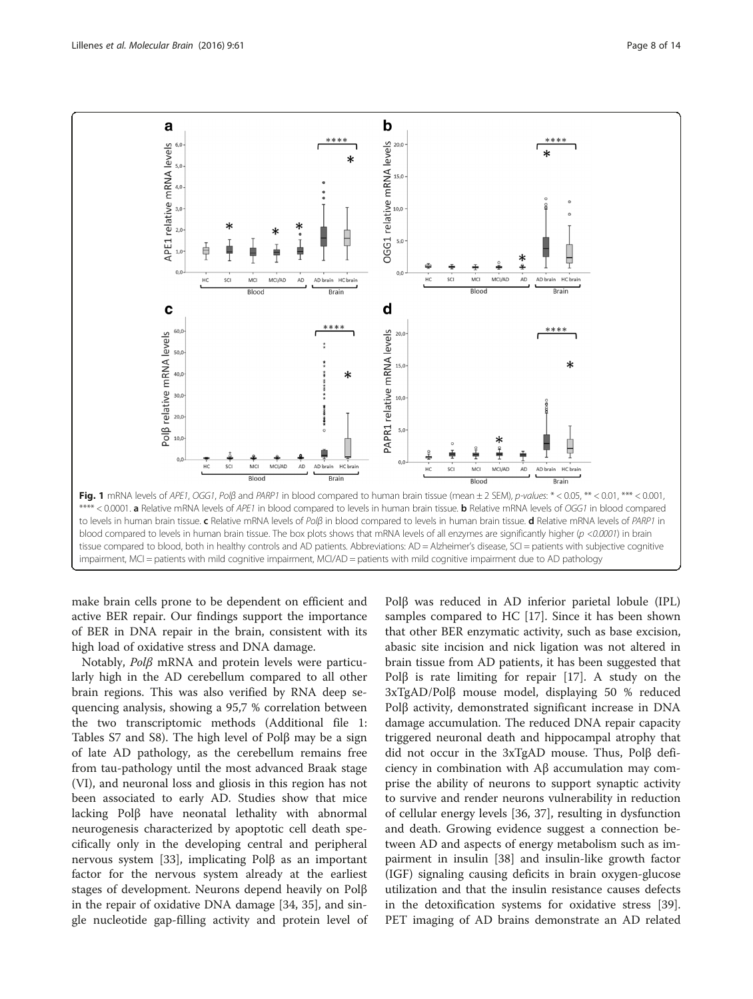<span id="page-7-0"></span>

make brain cells prone to be dependent on efficient and active BER repair. Our findings support the importance of BER in DNA repair in the brain, consistent with its high load of oxidative stress and DNA damage.

Notably, Polβ mRNA and protein levels were particularly high in the AD cerebellum compared to all other brain regions. This was also verified by RNA deep sequencing analysis, showing a 95,7 % correlation between the two transcriptomic methods (Additional file [1](#page-11-0): Tables S7 and S8). The high level of Polβ may be a sign of late AD pathology, as the cerebellum remains free from tau-pathology until the most advanced Braak stage (VI), and neuronal loss and gliosis in this region has not been associated to early AD. Studies show that mice lacking Polβ have neonatal lethality with abnormal neurogenesis characterized by apoptotic cell death specifically only in the developing central and peripheral nervous system [\[33](#page-12-0)], implicating Polβ as an important factor for the nervous system already at the earliest stages of development. Neurons depend heavily on Polβ in the repair of oxidative DNA damage [[34, 35\]](#page-12-0), and single nucleotide gap-filling activity and protein level of Polβ was reduced in AD inferior parietal lobule (IPL) samples compared to HC [\[17\]](#page-12-0). Since it has been shown that other BER enzymatic activity, such as base excision, abasic site incision and nick ligation was not altered in brain tissue from AD patients, it has been suggested that Polβ is rate limiting for repair [[17\]](#page-12-0). A study on the 3xTgAD/Polβ mouse model, displaying 50 % reduced Polβ activity, demonstrated significant increase in DNA damage accumulation. The reduced DNA repair capacity triggered neuronal death and hippocampal atrophy that did not occur in the 3xTgAD mouse. Thus, Polβ deficiency in combination with Aβ accumulation may comprise the ability of neurons to support synaptic activity to survive and render neurons vulnerability in reduction of cellular energy levels [[36](#page-12-0), [37\]](#page-12-0), resulting in dysfunction and death. Growing evidence suggest a connection between AD and aspects of energy metabolism such as impairment in insulin [\[38](#page-12-0)] and insulin-like growth factor (IGF) signaling causing deficits in brain oxygen-glucose utilization and that the insulin resistance causes defects in the detoxification systems for oxidative stress [\[39](#page-12-0)]. PET imaging of AD brains demonstrate an AD related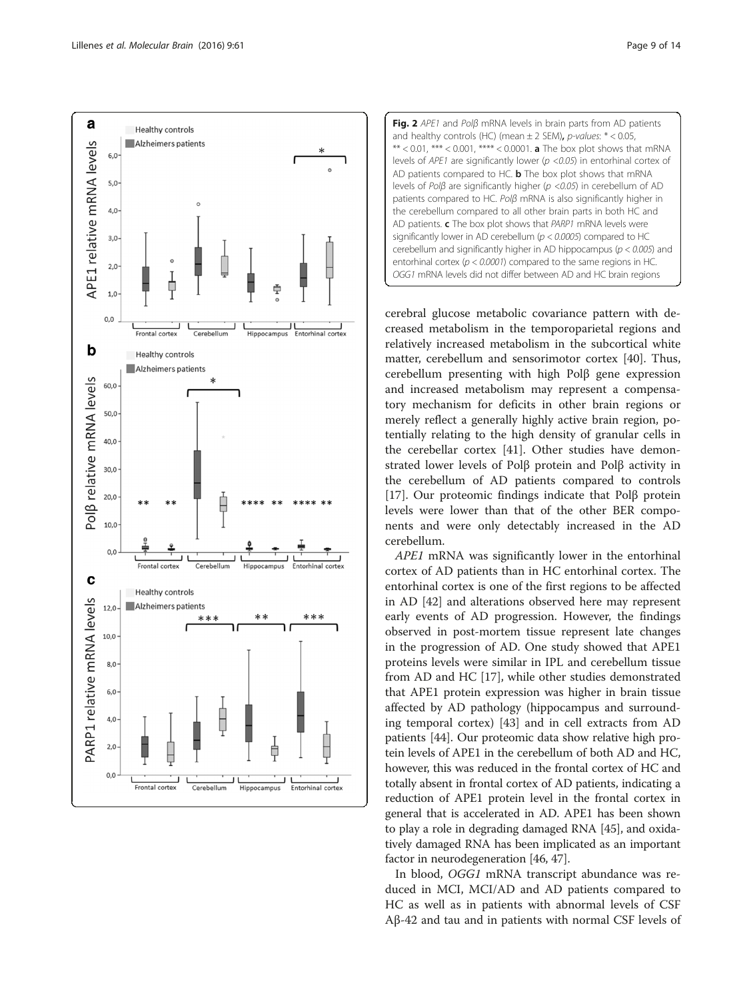<span id="page-8-0"></span>![](_page_8_Figure_2.jpeg)

![](_page_8_Figure_3.jpeg)

cerebral glucose metabolic covariance pattern with decreased metabolism in the temporoparietal regions and relatively increased metabolism in the subcortical white matter, cerebellum and sensorimotor cortex [\[40\]](#page-12-0). Thus, cerebellum presenting with high Polβ gene expression and increased metabolism may represent a compensatory mechanism for deficits in other brain regions or merely reflect a generally highly active brain region, potentially relating to the high density of granular cells in the cerebellar cortex [[41\]](#page-12-0). Other studies have demonstrated lower levels of Polβ protein and Polβ activity in the cerebellum of AD patients compared to controls [[17\]](#page-12-0). Our proteomic findings indicate that Polβ protein levels were lower than that of the other BER components and were only detectably increased in the AD cerebellum.

APE1 mRNA was significantly lower in the entorhinal cortex of AD patients than in HC entorhinal cortex. The entorhinal cortex is one of the first regions to be affected in AD [\[42\]](#page-12-0) and alterations observed here may represent early events of AD progression. However, the findings observed in post-mortem tissue represent late changes in the progression of AD. One study showed that APE1 proteins levels were similar in IPL and cerebellum tissue from AD and HC [\[17](#page-12-0)], while other studies demonstrated that APE1 protein expression was higher in brain tissue affected by AD pathology (hippocampus and surrounding temporal cortex) [\[43](#page-13-0)] and in cell extracts from AD patients [\[44](#page-13-0)]. Our proteomic data show relative high protein levels of APE1 in the cerebellum of both AD and HC, however, this was reduced in the frontal cortex of HC and totally absent in frontal cortex of AD patients, indicating a reduction of APE1 protein level in the frontal cortex in general that is accelerated in AD. APE1 has been shown to play a role in degrading damaged RNA [\[45\]](#page-13-0), and oxidatively damaged RNA has been implicated as an important factor in neurodegeneration [[46, 47\]](#page-13-0).

In blood, OGG1 mRNA transcript abundance was reduced in MCI, MCI/AD and AD patients compared to HC as well as in patients with abnormal levels of CSF Aβ-42 and tau and in patients with normal CSF levels of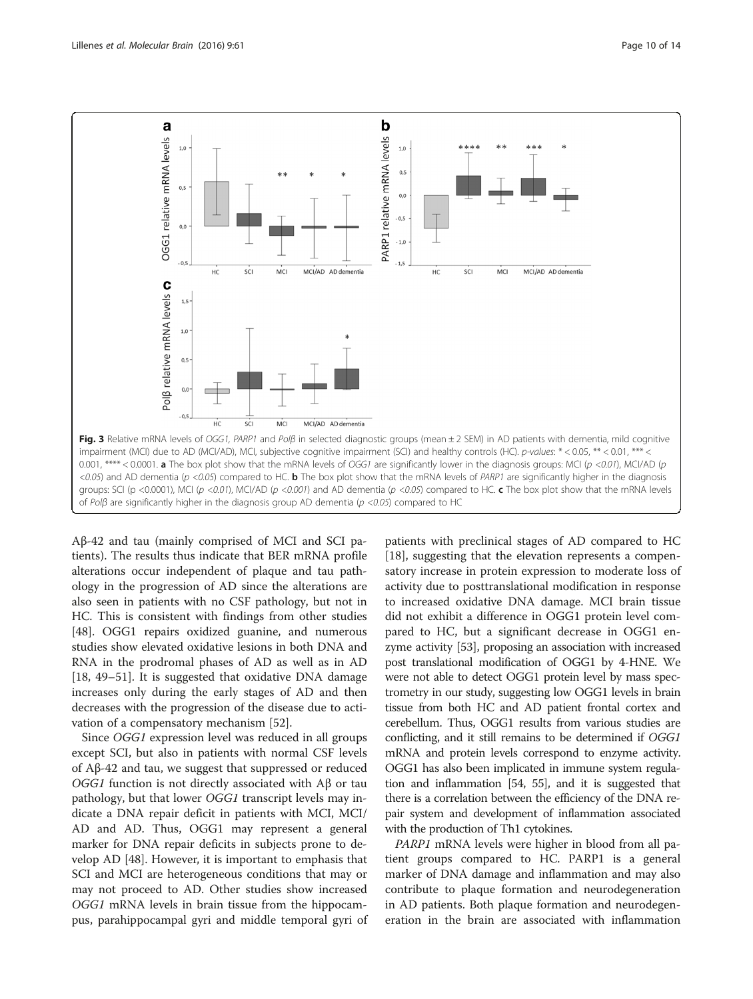<span id="page-9-0"></span>![](_page_9_Figure_2.jpeg)

Aβ-42 and tau (mainly comprised of MCI and SCI patients). The results thus indicate that BER mRNA profile alterations occur independent of plaque and tau pathology in the progression of AD since the alterations are also seen in patients with no CSF pathology, but not in HC. This is consistent with findings from other studies [[48\]](#page-13-0). OGG1 repairs oxidized guanine, and numerous studies show elevated oxidative lesions in both DNA and RNA in the prodromal phases of AD as well as in AD [[18,](#page-12-0) [49](#page-13-0)–[51](#page-13-0)]. It is suggested that oxidative DNA damage increases only during the early stages of AD and then decreases with the progression of the disease due to activation of a compensatory mechanism [\[52\]](#page-13-0).

Since OGG1 expression level was reduced in all groups except SCI, but also in patients with normal CSF levels of Aβ-42 and tau, we suggest that suppressed or reduced OGG1 function is not directly associated with  $Aβ$  or tau pathology, but that lower OGG1 transcript levels may indicate a DNA repair deficit in patients with MCI, MCI/ AD and AD. Thus, OGG1 may represent a general marker for DNA repair deficits in subjects prone to develop AD [[48](#page-13-0)]. However, it is important to emphasis that SCI and MCI are heterogeneous conditions that may or may not proceed to AD. Other studies show increased OGG1 mRNA levels in brain tissue from the hippocampus, parahippocampal gyri and middle temporal gyri of

patients with preclinical stages of AD compared to HC [[18\]](#page-12-0), suggesting that the elevation represents a compensatory increase in protein expression to moderate loss of activity due to posttranslational modification in response to increased oxidative DNA damage. MCI brain tissue did not exhibit a difference in OGG1 protein level compared to HC, but a significant decrease in OGG1 enzyme activity [\[53](#page-13-0)], proposing an association with increased post translational modification of OGG1 by 4-HNE. We were not able to detect OGG1 protein level by mass spectrometry in our study, suggesting low OGG1 levels in brain tissue from both HC and AD patient frontal cortex and cerebellum. Thus, OGG1 results from various studies are conflicting, and it still remains to be determined if OGG1 mRNA and protein levels correspond to enzyme activity. OGG1 has also been implicated in immune system regulation and inflammation [[54](#page-13-0), [55](#page-13-0)], and it is suggested that there is a correlation between the efficiency of the DNA repair system and development of inflammation associated with the production of Th1 cytokines.

PARP1 mRNA levels were higher in blood from all patient groups compared to HC. PARP1 is a general marker of DNA damage and inflammation and may also contribute to plaque formation and neurodegeneration in AD patients. Both plaque formation and neurodegeneration in the brain are associated with inflammation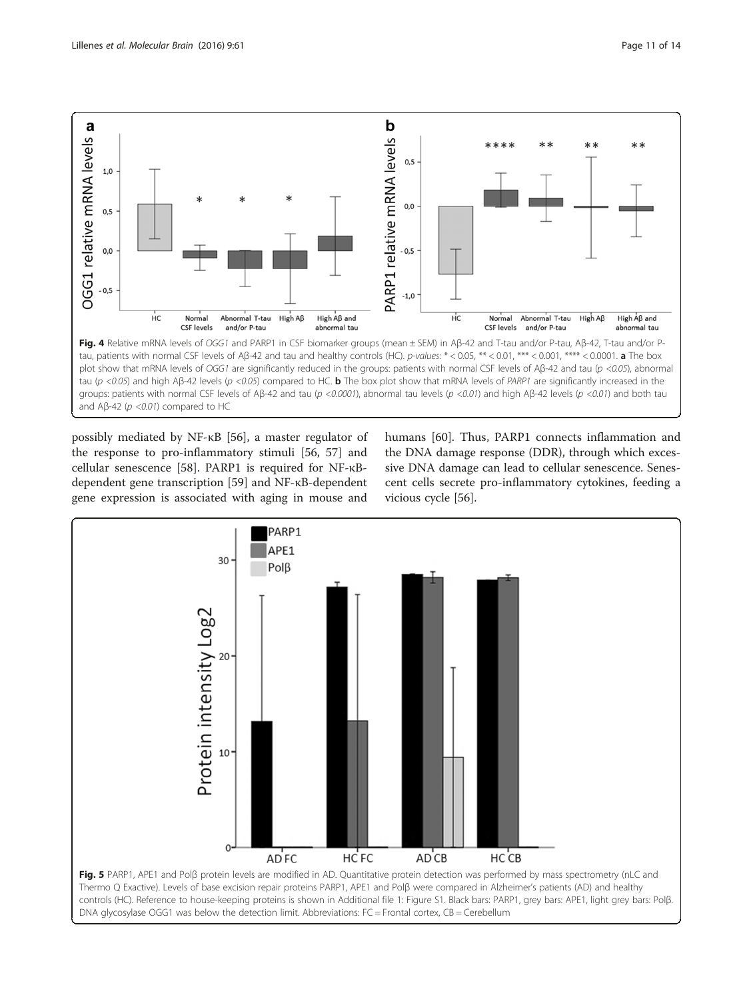<span id="page-10-0"></span>![](_page_10_Figure_2.jpeg)

possibly mediated by NF-κB [\[56](#page-13-0)], a master regulator of the response to pro-inflammatory stimuli [\[56, 57\]](#page-13-0) and cellular senescence [[58\]](#page-13-0). PARP1 is required for NF-κBdependent gene transcription [\[59](#page-13-0)] and NF-κB-dependent gene expression is associated with aging in mouse and humans [[60](#page-13-0)]. Thus, PARP1 connects inflammation and the DNA damage response (DDR), through which excessive DNA damage can lead to cellular senescence. Senescent cells secrete pro-inflammatory cytokines, feeding a vicious cycle [\[56\]](#page-13-0).

![](_page_10_Figure_5.jpeg)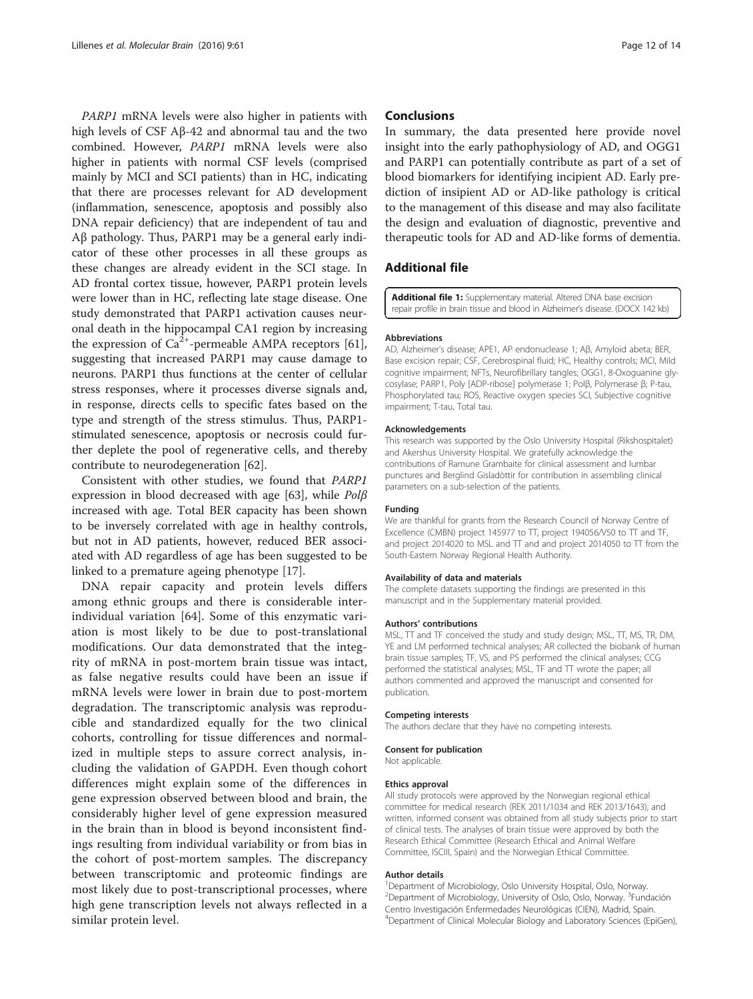<span id="page-11-0"></span>PARP1 mRNA levels were also higher in patients with high levels of CSF Aβ-42 and abnormal tau and the two combined. However, PARP1 mRNA levels were also higher in patients with normal CSF levels (comprised mainly by MCI and SCI patients) than in HC, indicating that there are processes relevant for AD development (inflammation, senescence, apoptosis and possibly also DNA repair deficiency) that are independent of tau and Aβ pathology. Thus, PARP1 may be a general early indicator of these other processes in all these groups as these changes are already evident in the SCI stage. In AD frontal cortex tissue, however, PARP1 protein levels were lower than in HC, reflecting late stage disease. One study demonstrated that PARP1 activation causes neuronal death in the hippocampal CA1 region by increasing the expression of  $Ca^{2+}$ -permeable AMPA receptors [\[61](#page-13-0)], suggesting that increased PARP1 may cause damage to neurons. PARP1 thus functions at the center of cellular stress responses, where it processes diverse signals and, in response, directs cells to specific fates based on the type and strength of the stress stimulus. Thus, PARP1 stimulated senescence, apoptosis or necrosis could further deplete the pool of regenerative cells, and thereby contribute to neurodegeneration [\[62\]](#page-13-0).

Consistent with other studies, we found that PARP1 expression in blood decreased with age [\[63\]](#page-13-0), while Polβ increased with age. Total BER capacity has been shown to be inversely correlated with age in healthy controls, but not in AD patients, however, reduced BER associated with AD regardless of age has been suggested to be linked to a premature ageing phenotype [\[17](#page-12-0)].

DNA repair capacity and protein levels differs among ethnic groups and there is considerable interindividual variation [\[64](#page-13-0)]. Some of this enzymatic variation is most likely to be due to post-translational modifications. Our data demonstrated that the integrity of mRNA in post-mortem brain tissue was intact, as false negative results could have been an issue if mRNA levels were lower in brain due to post-mortem degradation. The transcriptomic analysis was reproducible and standardized equally for the two clinical cohorts, controlling for tissue differences and normalized in multiple steps to assure correct analysis, including the validation of GAPDH. Even though cohort differences might explain some of the differences in gene expression observed between blood and brain, the considerably higher level of gene expression measured in the brain than in blood is beyond inconsistent findings resulting from individual variability or from bias in the cohort of post-mortem samples. The discrepancy between transcriptomic and proteomic findings are most likely due to post-transcriptional processes, where high gene transcription levels not always reflected in a similar protein level.

### **Conclusions**

In summary, the data presented here provide novel insight into the early pathophysiology of AD, and OGG1 and PARP1 can potentially contribute as part of a set of blood biomarkers for identifying incipient AD. Early prediction of insipient AD or AD-like pathology is critical to the management of this disease and may also facilitate the design and evaluation of diagnostic, preventive and therapeutic tools for AD and AD-like forms of dementia.

# Additional file

[Additional file 1:](dx.doi.org/10.1186/s13041-016-0237-z) Supplementary material. Altered DNA base excision repair profile in brain tissue and blood in Alzheimer's disease. (DOCX 142 kb)

#### Abbreviations

AD, Alzheimer's disease; APE1, AP endonuclease 1; Aβ, Amyloid abeta; BER, Base excision repair; CSF, Cerebrospinal fluid; HC, Healthy controls; MCI, Mild cognitive impairment; NFTs, Neurofibrillary tangles; OGG1, 8-Oxoguanine glycosylase; PARP1, Poly [ADP-ribose] polymerase 1; Polβ, Polymerase β; P-tau, Phosphorylated tau; ROS, Reactive oxygen species SCI, Subjective cognitive impairment; T-tau, Total tau.

#### Acknowledgements

This research was supported by the Oslo University Hospital (Rikshospitalet) and Akershus University Hospital. We gratefully acknowledge the contributions of Ramune Grambaite for clinical assessment and lumbar punctures and Berglind Gisladòttir for contribution in assembling clinical parameters on a sub-selection of the patients.

#### Funding

We are thankful for grants from the Research Council of Norway Centre of Excellence (CMBN) project 145977 to TT, project 194056/V50 to TT and TF, and project 2014020 to MSL and TT and and project 2014050 to TT from the South-Eastern Norway Regional Health Authority.

#### Availability of data and materials

The complete datasets supporting the findings are presented in this manuscript and in the Supplementary material provided.

#### Authors' contributions

MSL, TT and TF conceived the study and study design; MSL, TT, MS, TR, DM, YE and LM performed technical analyses; AR collected the biobank of human brain tissue samples; TF, VS, and PS performed the clinical analyses; CCG performed the statistical analyses; MSL, TF and TT wrote the paper; all authors commented and approved the manuscript and consented for publication.

#### Competing interests

The authors declare that they have no competing interests.

# Consent for publication

Not applicable.

# Ethics approval

All study protocols were approved by the Norwegian regional ethical committee for medical research (REK 2011/1034 and REK 2013/1643), and written, informed consent was obtained from all study subjects prior to start of clinical tests. The analyses of brain tissue were approved by both the Research Ethical Committee (Research Ethical and Animal Welfare Committee, ISCIII, Spain) and the Norwegian Ethical Committee.

#### Author details

<sup>1</sup> Department of Microbiology, Oslo University Hospital, Oslo, Norway. <sup>2</sup> Department of Microbiology, University of Oslo, Oslo, Norway. <sup>3</sup> Fundación Centro Investigación Enfermedades Neurológicas (CIEN), Madrid, Spain. 4 Department of Clinical Molecular Biology and Laboratory Sciences (EpiGen),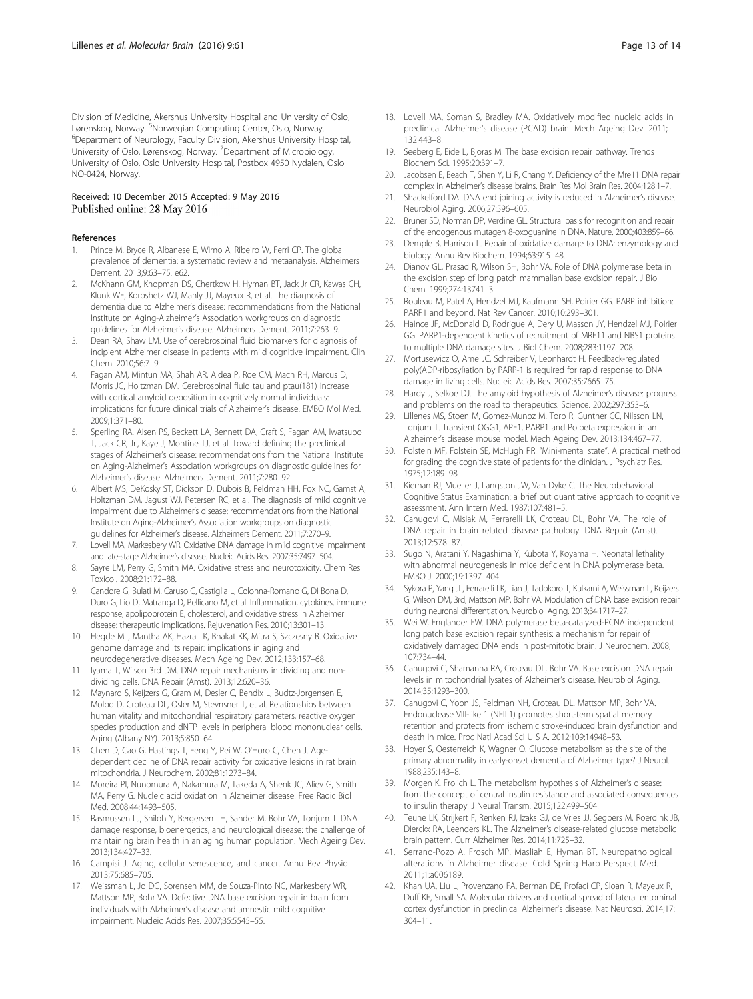<span id="page-12-0"></span>Division of Medicine, Akershus University Hospital and University of Oslo, Lørenskog, Norway. <sup>5</sup>Norwegian Computing Center, Oslo, Norway.<br><sup>6</sup>Denartment of Neurology, Eaculty Division, Akershus University H <sup>6</sup>Department of Neurology, Faculty Division, Akershus University Hospital, University of Oslo, Lørenskog, Norway. <sup>7</sup>Department of Microbiology, University of Oslo, Oslo University Hospital, Postbox 4950 Nydalen, Oslo NO-0424, Norway.

#### Received: 10 December 2015 Accepted: 9 May 2016 Published online: 28 May 2016

#### References

- Prince M, Bryce R, Albanese E, Wimo A, Ribeiro W, Ferri CP. The global prevalence of dementia: a systematic review and metaanalysis. Alzheimers Dement. 2013;9:63–75. e62.
- 2. McKhann GM, Knopman DS, Chertkow H, Hyman BT, Jack Jr CR, Kawas CH, Klunk WE, Koroshetz WJ, Manly JJ, Mayeux R, et al. The diagnosis of dementia due to Alzheimer's disease: recommendations from the National Institute on Aging-Alzheimer's Association workgroups on diagnostic guidelines for Alzheimer's disease. Alzheimers Dement. 2011;7:263–9.
- 3. Dean RA, Shaw LM. Use of cerebrospinal fluid biomarkers for diagnosis of incipient Alzheimer disease in patients with mild cognitive impairment. Clin Chem. 2010;56:7–9.
- 4. Fagan AM, Mintun MA, Shah AR, Aldea P, Roe CM, Mach RH, Marcus D, Morris JC, Holtzman DM. Cerebrospinal fluid tau and ptau(181) increase with cortical amyloid deposition in cognitively normal individuals: implications for future clinical trials of Alzheimer's disease. EMBO Mol Med. 2009;1:371–80.
- 5. Sperling RA, Aisen PS, Beckett LA, Bennett DA, Craft S, Fagan AM, Iwatsubo T, Jack CR, Jr., Kaye J, Montine TJ, et al. Toward defining the preclinical stages of Alzheimer's disease: recommendations from the National Institute on Aging-Alzheimer's Association workgroups on diagnostic guidelines for Alzheimer's disease. Alzheimers Dement. 2011;7:280–92.
- Albert MS, DeKosky ST, Dickson D, Dubois B, Feldman HH, Fox NC, Gamst A, Holtzman DM, Jagust WJ, Petersen RC, et al. The diagnosis of mild cognitive impairment due to Alzheimer's disease: recommendations from the National Institute on Aging-Alzheimer's Association workgroups on diagnostic guidelines for Alzheimer's disease. Alzheimers Dement. 2011;7:270–9.
- 7. Lovell MA, Markesbery WR. Oxidative DNA damage in mild cognitive impairment and late-stage Alzheimer's disease. Nucleic Acids Res. 2007;35:7497–504.
- 8. Sayre LM, Perry G, Smith MA. Oxidative stress and neurotoxicity. Chem Res Toxicol. 2008;21:172–88.
- 9. Candore G, Bulati M, Caruso C, Castiglia L, Colonna-Romano G, Di Bona D, Duro G, Lio D, Matranga D, Pellicano M, et al. Inflammation, cytokines, immune response, apolipoprotein E, cholesterol, and oxidative stress in Alzheimer disease: therapeutic implications. Rejuvenation Res. 2010;13:301–13.
- 10. Hegde ML, Mantha AK, Hazra TK, Bhakat KK, Mitra S, Szczesny B. Oxidative genome damage and its repair: implications in aging and neurodegenerative diseases. Mech Ageing Dev. 2012;133:157–68.
- 11. Iyama T, Wilson 3rd DM. DNA repair mechanisms in dividing and nondividing cells. DNA Repair (Amst). 2013;12:620–36.
- 12. Maynard S, Keijzers G, Gram M, Desler C, Bendix L, Budtz-Jorgensen E, Molbo D, Croteau DL, Osler M, Stevnsner T, et al. Relationships between human vitality and mitochondrial respiratory parameters, reactive oxygen species production and dNTP levels in peripheral blood mononuclear cells. Aging (Albany NY). 2013;5:850–64.
- 13. Chen D, Cao G, Hastings T, Feng Y, Pei W, O'Horo C, Chen J. Agedependent decline of DNA repair activity for oxidative lesions in rat brain mitochondria. J Neurochem. 2002;81:1273–84.
- 14. Moreira PI, Nunomura A, Nakamura M, Takeda A, Shenk JC, Aliev G, Smith MA, Perry G. Nucleic acid oxidation in Alzheimer disease. Free Radic Biol Med. 2008;44:1493–505.
- 15. Rasmussen LJ, Shiloh Y, Bergersen LH, Sander M, Bohr VA, Tonjum T. DNA damage response, bioenergetics, and neurological disease: the challenge of maintaining brain health in an aging human population. Mech Ageing Dev. 2013;134:427–33.
- 16. Campisi J. Aging, cellular senescence, and cancer. Annu Rev Physiol. 2013;75:685–705.
- 17. Weissman L, Jo DG, Sorensen MM, de Souza-Pinto NC, Markesbery WR, Mattson MP, Bohr VA. Defective DNA base excision repair in brain from individuals with Alzheimer's disease and amnestic mild cognitive impairment. Nucleic Acids Res. 2007;35:5545–55.
- 18. Lovell MA, Soman S, Bradley MA. Oxidatively modified nucleic acids in preclinical Alzheimer's disease (PCAD) brain. Mech Ageing Dev. 2011; 132:443–8.
- 19. Seeberg E, Eide L, Bjoras M. The base excision repair pathway. Trends Biochem Sci. 1995;20:391–7.
- 20. Jacobsen E, Beach T, Shen Y, Li R, Chang Y. Deficiency of the Mre11 DNA repair complex in Alzheimer's disease brains. Brain Res Mol Brain Res. 2004;128:1–7.
- 21. Shackelford DA. DNA end joining activity is reduced in Alzheimer's disease. Neurobiol Aging. 2006;27:596–605.
- 22. Bruner SD, Norman DP, Verdine GL. Structural basis for recognition and repair of the endogenous mutagen 8-oxoguanine in DNA. Nature. 2000;403:859–66.
- 23. Demple B, Harrison L. Repair of oxidative damage to DNA: enzymology and biology. Annu Rev Biochem. 1994;63:915–48.
- 24. Dianov GL, Prasad R, Wilson SH, Bohr VA. Role of DNA polymerase beta in the excision step of long patch mammalian base excision repair. J Biol Chem. 1999;274:13741–3.
- 25. Rouleau M, Patel A, Hendzel MJ, Kaufmann SH, Poirier GG. PARP inhibition: PARP1 and beyond. Nat Rev Cancer. 2010;10:293–301.
- 26. Haince JF, McDonald D, Rodrigue A, Dery U, Masson JY, Hendzel MJ, Poirier GG. PARP1-dependent kinetics of recruitment of MRE11 and NBS1 proteins to multiple DNA damage sites. J Biol Chem. 2008;283:1197–208.
- 27. Mortusewicz O, Ame JC, Schreiber V, Leonhardt H. Feedback-regulated poly(ADP-ribosyl)ation by PARP-1 is required for rapid response to DNA damage in living cells. Nucleic Acids Res. 2007;35:7665–75.
- 28. Hardy J, Selkoe DJ. The amyloid hypothesis of Alzheimer's disease: progress and problems on the road to therapeutics. Science. 2002;297:353–6.
- 29. Lillenes MS, Stoen M, Gomez-Munoz M, Torp R, Gunther CC, Nilsson LN, Tonjum T. Transient OGG1, APE1, PARP1 and Polbeta expression in an Alzheimer's disease mouse model. Mech Ageing Dev. 2013;134:467–77.
- 30. Folstein MF, Folstein SE, McHugh PR. "Mini-mental state". A practical method for grading the cognitive state of patients for the clinician. J Psychiatr Res. 1975;12:189–98.
- 31. Kiernan RJ, Mueller J, Langston JW, Van Dyke C. The Neurobehavioral Cognitive Status Examination: a brief but quantitative approach to cognitive assessment. Ann Intern Med. 1987;107:481–5.
- 32. Canugovi C, Misiak M, Ferrarelli LK, Croteau DL, Bohr VA. The role of DNA repair in brain related disease pathology. DNA Repair (Amst). 2013;12:578–87.
- 33. Sugo N, Aratani Y, Nagashima Y, Kubota Y, Koyama H. Neonatal lethality with abnormal neurogenesis in mice deficient in DNA polymerase beta. EMBO J. 2000;19:1397–404.
- 34. Sykora P, Yang JL, Ferrarelli LK, Tian J, Tadokoro T, Kulkarni A, Weissman L, Keijzers G, Wilson DM, 3rd, Mattson MP, Bohr VA. Modulation of DNA base excision repair during neuronal differentiation. Neurobiol Aging. 2013;34:1717–27.
- 35. Wei W, Englander EW. DNA polymerase beta-catalyzed-PCNA independent long patch base excision repair synthesis: a mechanism for repair of oxidatively damaged DNA ends in post-mitotic brain. J Neurochem. 2008; 107:734–44.
- 36. Canugovi C, Shamanna RA, Croteau DL, Bohr VA. Base excision DNA repair levels in mitochondrial lysates of Alzheimer's disease. Neurobiol Aging. 2014;35:1293–300.
- 37. Canugovi C, Yoon JS, Feldman NH, Croteau DL, Mattson MP, Bohr VA. Endonuclease VIII-like 1 (NEIL1) promotes short-term spatial memory retention and protects from ischemic stroke-induced brain dysfunction and death in mice. Proc Natl Acad Sci U S A. 2012;109:14948–53.
- 38. Hoyer S, Oesterreich K, Wagner O. Glucose metabolism as the site of the primary abnormality in early-onset dementia of Alzheimer type? J Neurol. 1988;235:143–8.
- 39. Morgen K, Frolich L. The metabolism hypothesis of Alzheimer's disease: from the concept of central insulin resistance and associated consequences to insulin therapy. J Neural Transm. 2015;122:499–504.
- 40. Teune LK, Strijkert F, Renken RJ, Izaks GJ, de Vries JJ, Segbers M, Roerdink JB, Dierckx RA, Leenders KL. The Alzheimer's disease-related glucose metabolic brain pattern. Curr Alzheimer Res. 2014;11:725–32.
- 41. Serrano-Pozo A, Frosch MP, Masliah E, Hyman BT. Neuropathological alterations in Alzheimer disease. Cold Spring Harb Perspect Med. 2011;1:a006189.
- 42. Khan UA, Liu L, Provenzano FA, Berman DE, Profaci CP, Sloan R, Mayeux R, Duff KE, Small SA. Molecular drivers and cortical spread of lateral entorhinal cortex dysfunction in preclinical Alzheimer's disease. Nat Neurosci. 2014;17: 304–11.